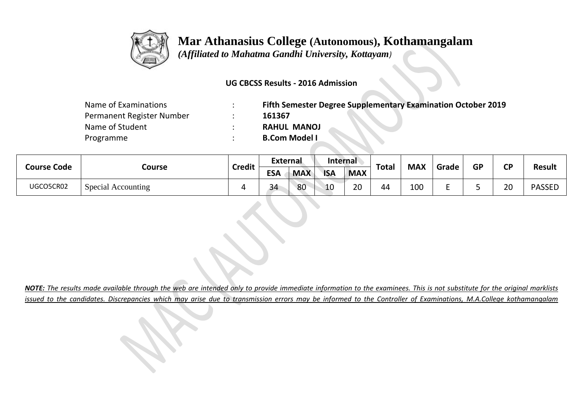

## **Mar Athanasius College (Autonomous), Kothamangalam**

 *(Affiliated to Mahatma Gandhi University, Kottayam)*

## **UG CBCSS Results - 2016 Admission**

| Name of Examinations      | Fifth Semester Degree Supplementary Examination October 2019 |
|---------------------------|--------------------------------------------------------------|
| Permanent Register Number | 161367                                                       |
| Name of Student           | <b>RAHUL MANOJ</b>                                           |
| Programme                 | <b>B.Com Model I</b>                                         |

| <b>Course Code</b> | Course             | <b>Credit</b> | <b>External</b> |            | Internal   |            |              | <b>MAX</b> |       | <b>GP</b> | σn       |               |
|--------------------|--------------------|---------------|-----------------|------------|------------|------------|--------------|------------|-------|-----------|----------|---------------|
|                    |                    |               | <b>ESA</b>      | <b>MAX</b> | <b>ISA</b> | <b>MAX</b> | <b>Total</b> |            | Grade |           | ◡        | <b>Result</b> |
| UGCO5CR02          | Special Accounting |               | 34              | 80         | 10         | 20         | 44           | 100        |       |           | ാറ<br>∠∪ | <b>PASSED</b> |

*NOTE: The results made available through the web are intended only to provide immediate information to the examinees. This is not substitute for the original marklists issued to the candidates. Discrepancies which may arise due to transmission errors may be informed to the Controller of Examinations, M.A.College kothamangalam*